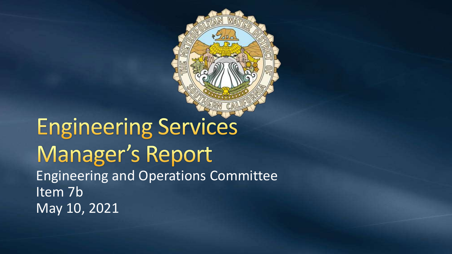

**Engineering Services** Manager's Report Engineering and Operations Committee Item 7b May 10, 2021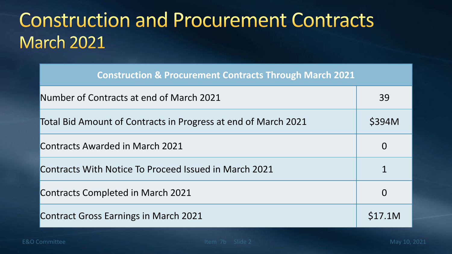### **Construction and Procurement Contracts March 2021**

| <b>Construction &amp; Procurement Contracts Through March 2021</b> |
|--------------------------------------------------------------------|
|--------------------------------------------------------------------|

| Number of Contracts at end of March 2021                       | 39       |
|----------------------------------------------------------------|----------|
| Total Bid Amount of Contracts in Progress at end of March 2021 | \$394M   |
| Contracts Awarded in March 2021                                | $\bf{O}$ |
| Contracts With Notice To Proceed Issued in March 2021          |          |
| <b>Contracts Completed in March 2021</b>                       | $\Omega$ |
| <b>Contract Gross Earnings in March 2021</b>                   | S17.1M   |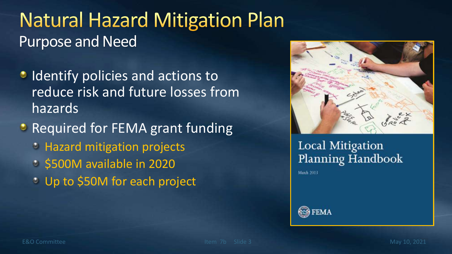### **Natural Hazard Mitigation Plan** Purpose and Need

- **IDENTIFY policies and actions to** reduce risk and future losses from hazards
- Required for FEMA grant funding
	- **E** Hazard mitigation projects
	- $\circ$  \$500M available in 2020
	- **Up to \$50M for each project**



#### Local Mitigation Planning Handbook

**March 2013** 

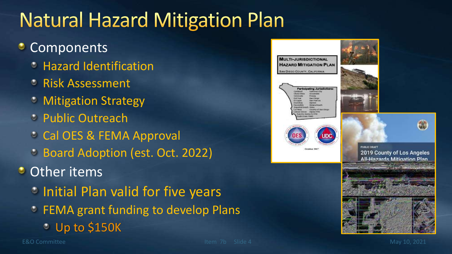## **Natural Hazard Mitigation Plan**

#### **Components**

- Hazard Identification
- Risk Assessment
- *C* Mitigation Strategy
- **Public Outreach**
- Cal OES & FEMA Approval
- Board Adoption (est. Oct. 2022)

#### **Other items**

- **Initial Plan valid for five years**
- **C** FEMA grant funding to develop Plans
	- Up to \$150K



áL)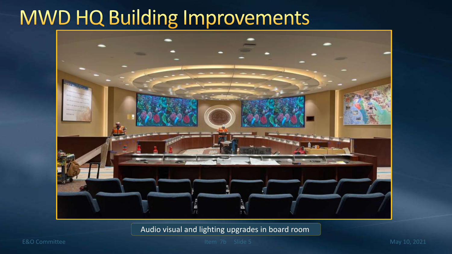## **MWD HQ Building Improvements**



Audio visual and lighting upgrades in board room

E&O Committee Item 7b Slide 5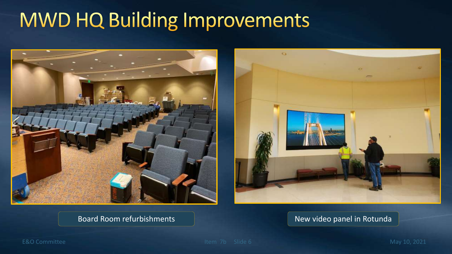# MWD HQ Building Improvements





#### Board Room refurbishments New York New video panel in Rotunda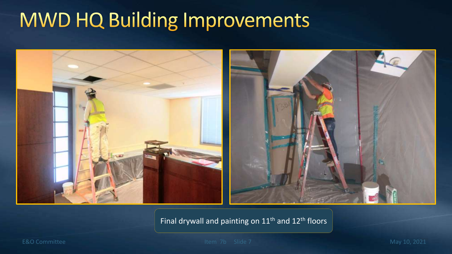## MWD HQ Building Improvements



Final drywall and painting on 11<sup>th</sup> and 12<sup>th</sup> floors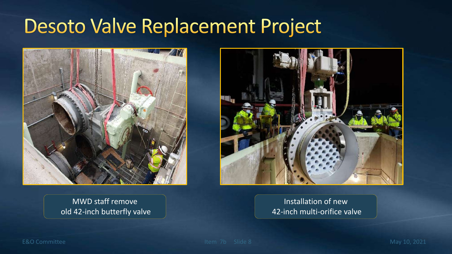#### **Desoto Valve Replacement Project**







Installation of new 42-inch multi-orifice valve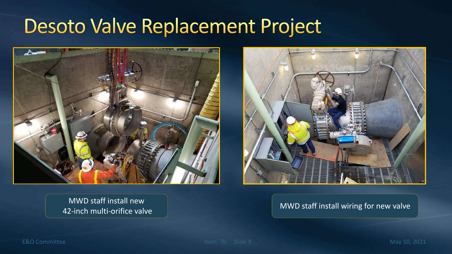#### Desoto Valve Replacement Project



MWD staff install new And the multi-orifice valve MWD staff install wiring for new valve